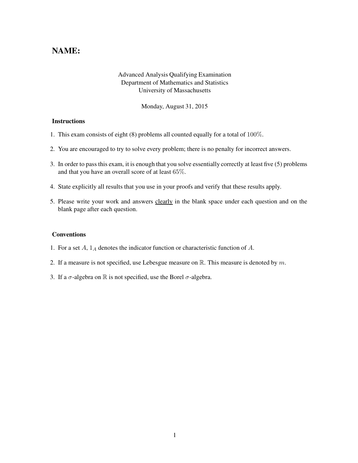## NAME:

## Advanced Analysis Qualifying Examination Department of Mathematics and Statistics University of Massachusetts

Monday, August 31, 2015

## **Instructions**

- 1. This exam consists of eight (8) problems all counted equally for a total of 100%.
- 2. You are encouraged to try to solve every problem; there is no penalty for incorrect answers.
- 3. In order to pass this exam, it is enough that you solve essentially correctly at least five (5) problems and that you have an overall score of at least 65%.
- 4. State explicitly all results that you use in your proofs and verify that these results apply.
- 5. Please write your work and answers clearly in the blank space under each question and on the blank page after each question.

## Conventions

- 1. For a set  $A$ ,  $1_A$  denotes the indicator function or characteristic function of  $A$ .
- 2. If a measure is not specified, use Lebesgue measure on  $\mathbb{R}$ . This measure is denoted by m.
- 3. If a  $\sigma$ -algebra on R is not specified, use the Borel  $\sigma$ -algebra.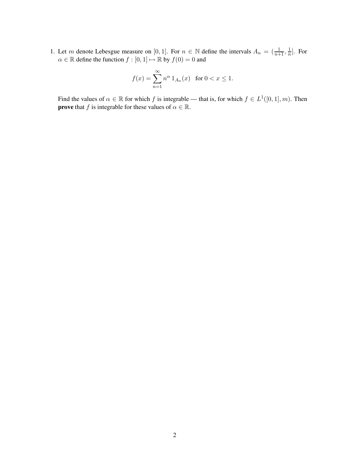1. Let m denote Lebesgue measure on [0, 1]. For  $n \in \mathbb{N}$  define the intervals  $A_n = (\frac{1}{n+1}, \frac{1}{n})$  $\frac{1}{n}$ . For  $\alpha \in \mathbb{R}$  define the function  $f : [0, 1] \mapsto \mathbb{R}$  by  $f(0) = 0$  and

$$
f(x) = \sum_{n=1}^{\infty} n^{\alpha} 1_{A_n}(x) \text{ for } 0 < x \le 1.
$$

Find the values of  $\alpha \in \mathbb{R}$  for which f is integrable — that is, for which  $f \in L^1([0,1], m)$ . Then **prove** that f is integrable for these values of  $\alpha \in \mathbb{R}$ .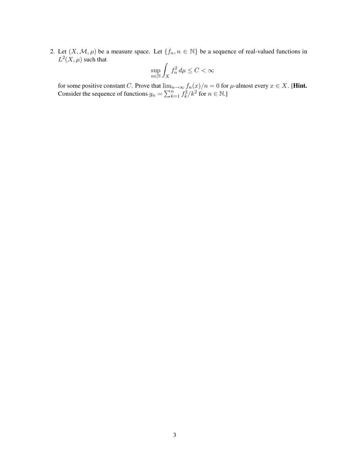2. Let  $(X, \mathcal{M}, \mu)$  be a measure space. Let  $\{f_n, n \in \mathbb{N}\}\$  be a sequence of real-valued functions in  $L^2(X,\mu)$  such that

$$
\sup_{n \in \mathbb{N}} \int_X f_n^2 \, d\mu \le C < \infty
$$

for some positive constant C. Prove that  $\lim_{n\to\infty} f_n(x)/n = 0$  for  $\mu$ -almost every  $x \in X$ . [Hint. Consider the sequence of functions  $g_n = \sum_{k=1}^n f_k^2$  $k^2/k^2$  for  $n \in \mathbb{N}$ .]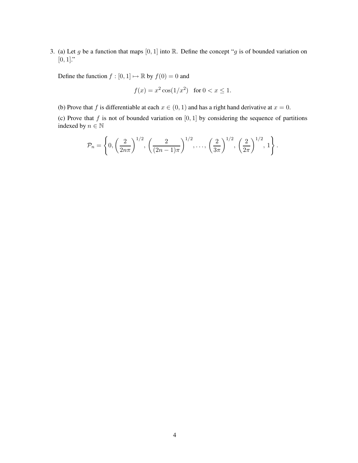3. (a) Let g be a function that maps  $[0, 1]$  into R. Define the concept "g is of bounded variation on  $[0, 1]$ ."

Define the function  $f : [0, 1] \mapsto \mathbb{R}$  by  $f(0) = 0$  and

$$
f(x) = x^2 \cos(1/x^2)
$$
 for  $0 < x \le 1$ .

(b) Prove that f is differentiable at each  $x \in (0, 1)$  and has a right hand derivative at  $x = 0$ .

(c) Prove that  $f$  is not of bounded variation on  $[0, 1]$  by considering the sequence of partitions indexed by  $n \in \mathbb{N}$ 

$$
\mathcal{P}_n = \left\{ 0, \left( \frac{2}{2n\pi} \right)^{1/2}, \left( \frac{2}{(2n-1)\pi} \right)^{1/2}, \dots, \left( \frac{2}{3\pi} \right)^{1/2}, \left( \frac{2}{2\pi} \right)^{1/2}, 1 \right\}.
$$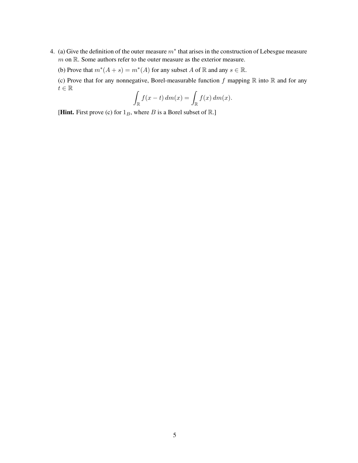- 4. (a) Give the definition of the outer measure  $m^*$  that arises in the construction of Lebesgue measure m on R. Some authors refer to the outer measure as the exterior measure.
	- (b) Prove that  $m^*(A + s) = m^*(A)$  for any subset A of  $\mathbb R$  and any  $s \in \mathbb R$ .

(c) Prove that for any nonnegative, Borel-measurable function  $f$  mapping  $\mathbb R$  into  $\mathbb R$  and for any  $t\in\mathbb{R}$ 

$$
\int_{\mathbb{R}} f(x-t) dm(x) = \int_{\mathbb{R}} f(x) dm(x).
$$

[Hint. First prove (c) for  $1_B$ , where B is a Borel subset of R.]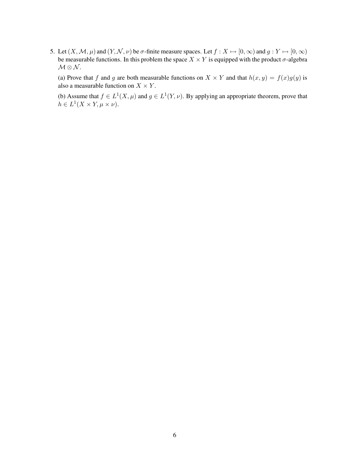5. Let  $(X, \mathcal{M}, \mu)$  and  $(Y, \mathcal{N}, \nu)$  be  $\sigma$ -finite measure spaces. Let  $f : X \mapsto [0, \infty)$  and  $g : Y \mapsto [0, \infty)$ be measurable functions. In this problem the space  $X \times Y$  is equipped with the product  $\sigma$ -algebra  $\mathcal{M} \otimes \mathcal{N}$ .

(a) Prove that f and g are both measurable functions on  $X \times Y$  and that  $h(x, y) = f(x)g(y)$  is also a measurable function on  $X \times Y$ .

(b) Assume that  $f \in L^1(X, \mu)$  and  $g \in L^1(Y, \nu)$ . By applying an appropriate theorem, prove that  $h \in L^1(X \times Y, \mu \times \nu).$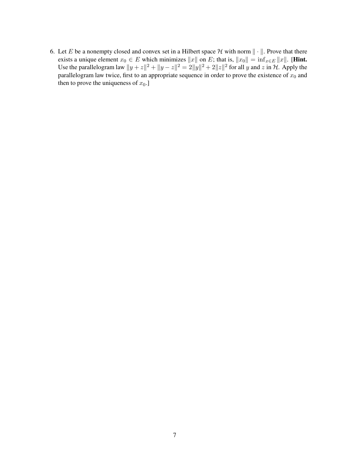6. Let E be a nonempty closed and convex set in a Hilbert space  $\mathcal H$  with norm  $\|\cdot\|$ . Prove that there exists a unique element  $x_0 \in E$  which minimizes  $||x||$  on E; that is,  $||x_0|| = \inf_{x \in E} ||x||$ . [Hint. Use the parallelogram law  $||y + z||^2 + ||y - z||^2 = 2||y||^2 + 2||z||^2$  for all y and z in H. Apply the parallelogram law twice, first to an appropriate sequence in order to prove the existence of  $x_0$  and then to prove the uniqueness of  $x_0$ .]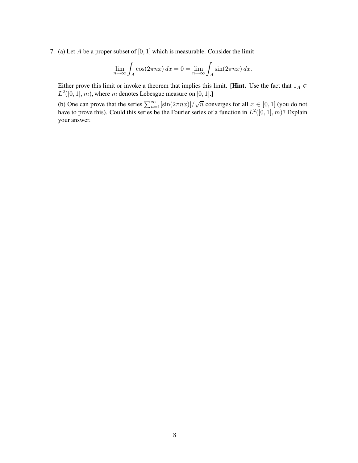7. (a) Let A be a proper subset of  $[0, 1]$  which is measurable. Consider the limit

$$
\lim_{n \to \infty} \int_A \cos(2\pi nx) \, dx = 0 = \lim_{n \to \infty} \int_A \sin(2\pi nx) \, dx.
$$

Either prove this limit or invoke a theorem that implies this limit. [Hint. Use the fact that  $1_A \in$  $L^2([0, 1], m)$ , where m denotes Lebesgue measure on [0, 1].]

(b) One can prove that the series  $\sum_{n=1}^{\infty} [\sin(2\pi nx)]/\sqrt{n}$  converges for all  $x \in [0,1]$  (you do not have to prove this). Could this series be the Fourier series of a function in  $L^2([0,1], m)$ ? Explain your answer.